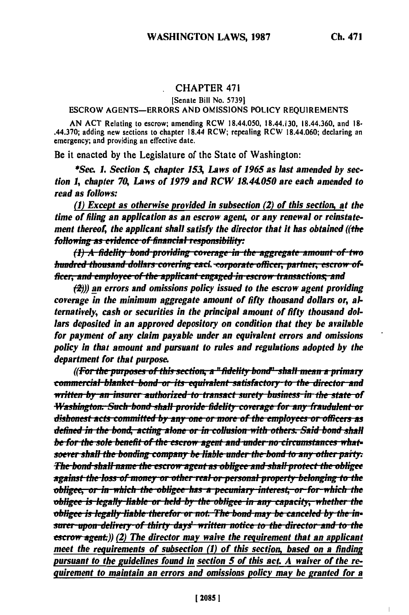### **CHAPTER 471**

#### [Senate Bill No. 5739]

#### **ESCROW AGENTS-ERRORS AND OMISSIONS POLICY REQUIREMENTS**

AN ACT Relating to escrow; amending RCW 18.44.050, 18.44.130, 18.44.360, and 18-.44.370; adding new sections to chapter 18.44 RCW; repealing RCW 18.44.060; declaring an emergency; and providing an effective date.

Be it enacted by the Legislature of the State of Washington:

\*Sec. 1. Section 5, chapter 153, Laws of 1965 as last amended by section 1, chapter 70, Laws of 1979 and RCW 18.44.050 are each amended to read as follows:

(1) Except as otherwise provided in subsection (2) of this section, at the time of filing an application as an escrow agent, or any renewal or reinstatement thereof, the applicant shall satisfy the director that it has obtained ((the following as evidence of financial responsibility:

(1) A fidelity bond-providing coverage in the aggregate amount of two hundred thousand dollars covering eacl. corporate officer, partner, escrow officer, and employee of the applicant engaged in escrow transactions, and

 $\langle 2 \rangle$ )) an errors and omissions policy issued to the escrow agent providing coverage in the minimum aggregate amount of fifty thousand dollars or, alternatively, cash or securities in the principal amount of fifty thousand dollars deposited in an approved depository on condition that they be available for payment of any claim payable under an equivalent errors and omissions policy in that amount and pursuant to rules and regulations adopted by the department for that purpose.

((For the purposes of this section, a "fidelity bond" shall mean a primary commercial blanket bond or its equivalent satisfactory to the director and written by an insurer authorized to transact surety business in the state of Washington. Such bond shall provide fidelity coverage for any fraudulent or dishonest acts committed by any one or more of the employees or officers as defined in the bond, acting alone or in collusion-with others. Said bond shall be for the sole benefit of the escrow agent and under-no-circumstances whatsoever shall the bonding company be liable under the bond to any other party: The bond shall name the escrow agent as obligee and shall protect the obligee against the loss of money or other real or personal property belonging to the obligee, or in which the obligee has a pecuniary interest, or for which the obligee is legally liable or held by the obligee in any capacity, whether the obligee is legally liable therefor or not. The bond may be canceled by the insurer upon delivery of thirty days' written notice to the director and to the  $\epsilon$ scrow agent:)) (2) The director may waive the requirement that an applicant meet the requirements of subsection (1) of this section, based on a finding pursuant to the guidelines found in section 5 of this act. A waiver of the requirement to maintain an errors and omissions policy may be granted for a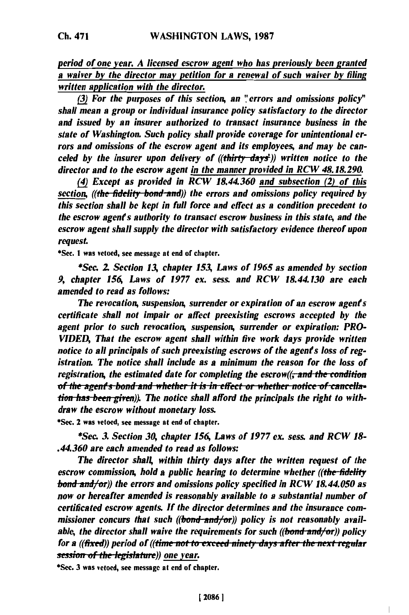*period of one year. A licensed escrow agent who has previously been granted a waiver by the director may petition for a renewal of such waiver by filing written application with the director.*

*(3) For the purposes of this section, an "errors and omissions policy" shall mean a group or individual insurance policy satisfactory to the director and issued by an insurer authorized to transact insurance business in the state of Washington. Such policy shall provide coverage for unintentional errors and omissions of the escrow agent and its employees, and may be canceled by the insurer upon delivery of ((thirty-days)) written notice to the director and to the escrow agent in the manner provided in RCW 48.18.290.*

*(4) Except as provided in RCW 18.44.360 and subsection (2) of this section, ((the fidelity bond and)) the errors and omissions policy required by this section shall be kept in full force and effect as a condition precedent to the escrow agents authority to transact escrow business in this state, and the escrow agent shall supply the director with satisfactory evidence thereof upon request*

\*Sec. **I** was vetoed, see message at end **of** chapter.

*\*Sea 2 Section 13, chapter 153, Laws of 1965 as amended by section 9, chapter 156, Laws of 1977 ex. sess. and RCW 18.44.130 are each amended to read as follows:*

*The revocation, suspension, surrender or expiration of an escrow agents certificate shall not impair or affect preexisting escrows accepted by the agent prior to such revocation, suspension, surrender or expiration: PRO-VIDED, That the escrow agent shall within five work days provide written notice to all principals of such preexisting escrows of the agents loss of registration. The notice shall include as a minimum the reason for the loss of registration, the estimated date for completing the escrow((<del>, and the condition</del>* of the agent's bond and whether it is in effect or whether notice of cancella-<br>tion has been given)). The notice shall afford the principals the right to with*draw the escrow without monetary loss.*

\*Sec. 2 was vetoed, see message at end of chapter.

*\*Sec. 3. Section 30, chapter 156, Laws of 1977 ex. sess. and RCW 18- .44.360 are each amended to read as follows:*

*The director shall, within thirty days after the written request of the escrow commission, hold a public hearing to determine whether ((the-fideft bond-and/'or)) the errors and omissions policy specified in RCW 18.44.050 as now or hereafter amended is reasonably available to a substantial number of certificated escrow agents. If the director determines and the insurance commissioner concurs that such ((bond-and/or)) policy is not reasonably available, the director shall waive the requirements for such ((bond-and/or)) policy for a ((fixed)) period of ((time not to exceed ninety days after the next regular* **session of the legislature**)) one year.

\*Sec. **3** was vetoed, see message at end of chapter.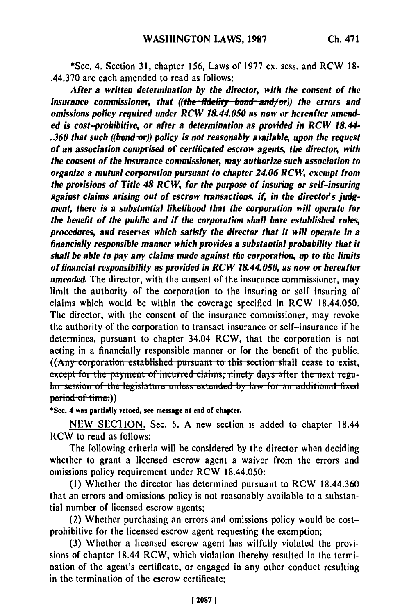\*Sec. **4.** Section 31, chapter 156, Laws of 1977 ex. sess. and RCW 18- .44.370 are each amended to read as follows:

*After a written determination by the director, with the consent of the insurance commissioner, that ((the-fidelity bond and/or)) the errors and omissions policy required under RCW 18.44.050 as now or hereafter amended is cost-prohibitive, or after a determination as provided in RCW 18.44- .360 that such ((bond-or)) policy is not reasonably available, upon the request of an association comprised of certificated escrow agents, the director, with the consent of the insurance commissioner, may authorize such association to organize a mutual corporation pursuant to chapter 24.06 RCW, exempt from the provisions of Title 48 RCW, for the purpose of insuring or self-insuring* against claims arising out of escrow transactions, if, in the director's judg*men4 there is a substantial likelihood that the corporation will operate for the benefit of the public and if the corporation shall have established rules, procedures, and reserves which satisfy the director that it will operate in a financially responsible manner which provides a substantial probability that it shall be able to pay any claims made against the corporation, up to the limits of financial responsibility as provided in RCW 18.44.050, as now or hereafter amended.* The director, with the consent of the insurance commissioner, may limit the authority of the corporation to the insuring or self-insuring of claims which would be within the coverage specified in RCW 18.44.050. The director, with the consent of the insurance commissioner, may revoke the authority of the corporation to transact insurance or self-insurance if he determines, pursuant to chapter 34.04 RCW, that the corporation is not acting in a financially responsible manner or for the benefit of the public. ((Any corporation established pursuant to this section shall cease to exist, except for the payment of incurred claims, ninety days after the next regu $ar$ -session-of the legislature unless extended by law for an additional fixed period of time:))<br>\*Sec. 4 was partially vetoed, see message at end of chapter.

NEW SECTION. Sec. 5. A new section is added to chapter 18.44 RCW to read as follows:

The following criteria will be considered by the director when deciding whether to grant a licensed escrow agent a waiver from the errors and omissions policy requirement under RCW 18.44.050:

(1) Whether the director has determined pursuant to RCW 18.44.360 that an errors and omissions policy is not reasonably available to a substantial number of licensed escrow agents;

(2) Whether purchasing an errors and omissions policy would be costprohibitive for the licensed escrow agent requesting the exemption;

(3) Whether a licensed escrow agent has wilfully violated the provisions of chapter 18.44 RCW, which violation thereby resulted in the termination of the agent's certificate, or engaged in any other conduct resulting in the termination of the escrow certificate;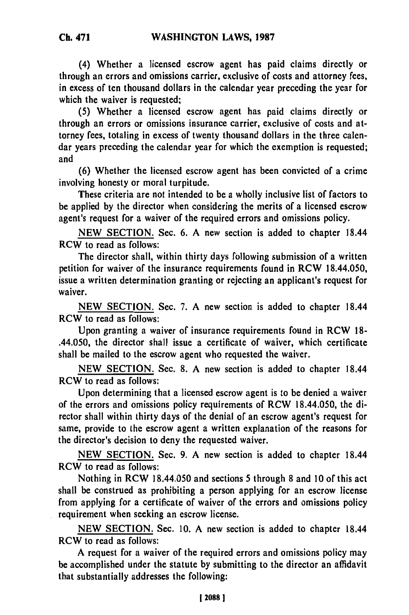**(4) Whether a** licensed escrow agent has paid claims directly or through an errors and omissions carrier, exclusive of costs and attorney fees, in excess of ten thousand dollars in the calendar year preceding the year for which the waiver is requested:

**(5)** Whether a licensed escrow agent has paid claims directly or through an errors or omissions insurance carrier, exclusive of costs and attorney fees, totaling in excess of twenty thousand dollars in the three calendar years preceding the calendar year for which the exemption is requested; and

**(6)** Whether the licensed escrow agent has been convicted of a crime involving honesty or moral turpitude.

These criteria are not intended to be a wholly inclusive list of factors to be applied **by** the director when considering the merits of a licensed escrow agent's request for a waiver of the required errors and omissions policy.

**NEW SECTION.** Sec. **6. A** new section is added to chapter 18.44 RCW to read as follows:

The director shall, within thirty days following submission of a written petition for waiver of the insurance requirements found in RCW 18.44.050, issue a written determination granting or rejecting an applicant's request for waiver.

**NEW SECTION.** Sec. **7. A** new section is added to chapter 18.44 RCW to read as follows:

Upon granting a waiver of insurance requirements found in RCW **18-** .44.050, the director shall issue a certificate of waiver, which certificate shall be mailed to the escrow agent who requested the waiver.

**NEW SECTION.** Sec. **8. A** new section is added to chapter 18.44 RCW to read as follows:

Upon determining that a licensed escrow agent is to be denied a waiver of the errors and omissions policy requirements of RCW 18.44.050, the director shall within thirty days of the denial of an escrow agent's request for same, provide to the escrow agent a written explanation of the reasons for the director's decision to deny the requested waiver.

**NEW SECTION.** Sec. **9. A** new section is added to chapter 18.44 **RCW to read as follows:**

Nothing in RCW 18.44.050 and sections **5** through **8** and **10** of this act shall be construed as prohibiting a person applying for an escrow license from applying for a certificate of waiver of the errors and omissions policy requirement when seeking an escrow license.

**NEW SECTION.** Sec. **10. A** new section is added to chapter 18.44 RCW to read as follows:

**A** request for a waiver of the required errors and omissions policy may **be** accomplished under the statute **by** submitting to the director an affidavit that substantially addresses the following: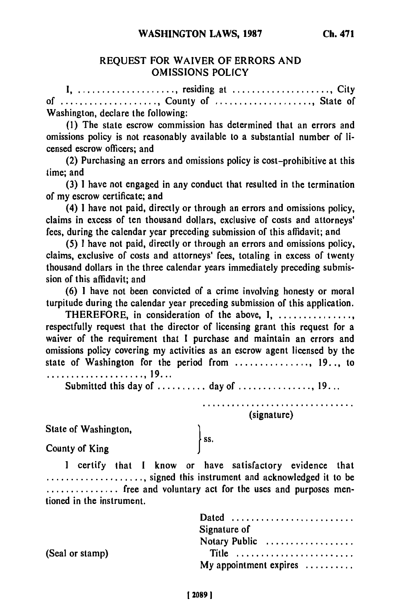## REQUEST FOR WAIVER OF ERRORS **AND OMISSIONS** POLICY

**I** ...................... residing at .................. City **of** ..................... County of ..................... State of Washington, declare the following:

**(1)** The state escrow commission has determined that an errors and omissions policy is not reasonably available to a substantial number of licensed escrow officers; and

(2) Purchasing an errors and omissions policy is cost-prohibitive at this time; and

(3) **1** have not engaged in any conduct that resulted in the termination of my escrow certificate; and

(4) **1** have not paid, directly or through an errors and omissions policy, claims in excess of ten thousand dollars, exclusive of costs and attorneys' fees, during the calendar year preceding submission of this affidavit; and

(5) I have not paid, directly or through an errors and omissions policy, claims, exclusive of costs and attorneys' fees, totaling in excess of twenty thousand dollars in the three calendar years immediately preceding submission of this affidavit; and

**(6)** I have not been convicted of a crime involving honesty or moral turpitude during the calendar year preceding submission of this application.

THEREFORE, in consideration of the above, I, ................ respectfully request that the director of licensing grant this request for a waiver of the requirement that **I** purchase and maintain an errors and omissions policy covering my activities as an escrow agent licensed **by** the state of Washington for the period from ................ 19. **.,** to

**.................... , 19 ...**

Submitted this day of .......... day of ................ 19...

∤ ss.

**........ \*\*\*\*,......oooo......** (signature)

State of Washington,

County of King

I certify that I know or have satisfactory evidence that **.....................** signed this instrument and acknowledged it to be  $\ldots$ ,,,,,,,,,,, free and voluntary act for the uses and purposes mentioned in the instrument.

|                 | Dated<br>Signature of                                              |
|-----------------|--------------------------------------------------------------------|
| (Seal or stamp) | Notary Public<br>Title<br>My appointment expires $\dots\dots\dots$ |